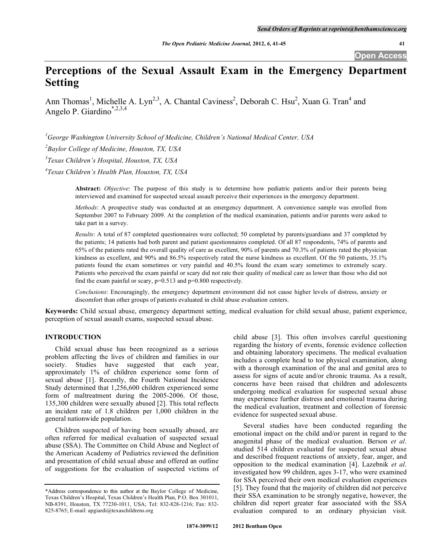# **Perceptions of the Sexual Assault Exam in the Emergency Department Setting**

Ann Thomas<sup>1</sup>, Michelle A. Lyn<sup>2,3</sup>, A. Chantal Caviness<sup>2</sup>, Deborah C. Hsu<sup>2</sup>, Xuan G. Tran<sup>4</sup> and Angelo P. Giardino\*,2,3,4

*1 George Washington University School of Medicine, Children's National Medical Center, USA* 

*2 Baylor College of Medicine, Houston, TX, USA* 

*3 Texas Children's Hospital, Houston, TX, USA* 

*4 Texas Children's Health Plan, Houston, TX, USA* 

**Abstract:** *Objective*: The purpose of this study is to determine how pediatric patients and/or their parents being interviewed and examined for suspected sexual assault perceive their experiences in the emergency department.

*Methods*: A prospective study was conducted at an emergency department. A convenience sample was enrolled from September 2007 to February 2009. At the completion of the medical examination, patients and/or parents were asked to take part in a survey.

*Results*: A total of 87 completed questionnaires were collected; 50 completed by parents/guardians and 37 completed by the patients; 14 patients had both parent and patient questionnaires completed. Of all 87 respondents, 74% of parents and 65% of the patients rated the overall quality of care as excellent, 90% of parents and 70.3% of patients rated the physician kindness as excellent, and 90% and 86.5% respectively rated the nurse kindness as excellent. Of the 50 patients, 35.1% patients found the exam sometimes or very painful and 40.5% found the exam scary sometimes to extremely scary. Patients who perceived the exam painful or scary did not rate their quality of medical care as lower than those who did not find the exam painful or scary,  $p=0.513$  and  $p=0.800$  respectively.

*Conclusions*: Encouragingly, the emergency department environment did not cause higher levels of distress, anxiety or discomfort than other groups of patients evaluated in child abuse evaluation centers.

**Keywords:** Child sexual abuse, emergency department setting, medical evaluation for child sexual abuse, patient experience, perception of sexual assault exams, suspected sexual abuse.

# **INTRODUCTION**

 Child sexual abuse has been recognized as a serious problem affecting the lives of children and families in our society. Studies have suggested that each year, approximately 1% of children experience some form of sexual abuse [1]. Recently, the Fourth National Incidence Study determined that 1,256,600 children experienced some form of maltreatment during the 2005-2006. Of those, 135,300 children were sexually abused [2]. This total reflects an incident rate of 1.8 children per 1,000 children in the general nationwide population.

 Children suspected of having been sexually abused, are often referred for medical evaluation of suspected sexual abuse (SSA). The Committee on Child Abuse and Neglect of the American Academy of Pediatrics reviewed the definition and presentation of child sexual abuse and offered an outline of suggestions for the evaluation of suspected victims of child abuse [3]. This often involves careful questioning regarding the history of events, forensic evidence collection and obtaining laboratory specimens. The medical evaluation includes a complete head to toe physical examination, along with a thorough examination of the anal and genital area to assess for signs of acute and/or chronic trauma. As a result, concerns have been raised that children and adolescents undergoing medical evaluation for suspected sexual abuse may experience further distress and emotional trauma during the medical evaluation, treatment and collection of forensic evidence for suspected sexual abuse.

 Several studies have been conducted regarding the emotional impact on the child and/or parent in regard to the anogenital phase of the medical evaluation. Berson *et al*. studied 514 children evaluated for suspected sexual abuse and described frequent reactions of anxiety, fear, anger, and opposition to the medical examination [4]. Lazebnik *et al*. investigated how 99 children, ages 3-17, who were examined for SSA perceived their own medical evaluation experiences [5]. They found that the majority of children did not perceive their SSA examination to be strongly negative, however, the children did report greater fear associated with the SSA evaluation compared to an ordinary physician visit.

<sup>\*</sup>Address correspondence to this author at the Baylor College of Medicine, Texas Children's Hospital, Texas Children's Health Plan, P.O. Box 301011, NB-8391, Houston, TX 77230-1011, USA; Tel: 832-828-1216; Fax: 832- 825-8765; E-mail: apgiardi@texaschildrens.org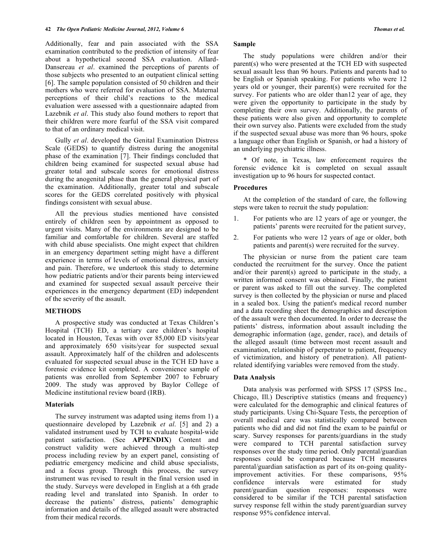Additionally, fear and pain associated with the SSA examination contributed to the prediction of intensity of fear about a hypothetical second SSA evaluation. Allard-Dansereau *et al*. examined the perceptions of parents of those subjects who presented to an outpatient clinical setting [6]. The sample population consisted of 50 children and their mothers who were referred for evaluation of SSA. Maternal perceptions of their child's reactions to the medical evaluation were assessed with a questionnaire adapted from Lazebnik *et al*. This study also found mothers to report that their children were more fearful of the SSA visit compared to that of an ordinary medical visit.

 Gully *et al*. developed the Genital Examination Distress Scale (GEDS) to quantify distress during the anogenital phase of the examination [7]. Their findings concluded that children being examined for suspected sexual abuse had greater total and subscale scores for emotional distress during the anogenital phase than the general physical part of the examination. Additionally, greater total and subscale scores for the GEDS correlated positively with physical findings consistent with sexual abuse.

 All the previous studies mentioned have consisted entirely of children seen by appointment as opposed to urgent visits. Many of the environments are designed to be familiar and comfortable for children. Several are staffed with child abuse specialists. One might expect that children in an emergency department setting might have a different experience in terms of levels of emotional distress, anxiety and pain. Therefore, we undertook this study to determine how pediatric patients and/or their parents being interviewed and examined for suspected sexual assault perceive their experiences in the emergency department (ED) independent of the severity of the assault.

## **METHODS**

 A prospective study was conducted at Texas Children's Hospital (TCH) ED, a tertiary care children's hospital located in Houston, Texas with over 85,000 ED visits/year and approximately 650 visits/year for suspected sexual assault. Approximately half of the children and adolescents evaluated for suspected sexual abuse in the TCH ED have a forensic evidence kit completed. A convenience sample of patients was enrolled from September 2007 to February 2009. The study was approved by Baylor College of Medicine institutional review board (IRB).

### **Materials**

 The survey instrument was adapted using items from 1) a questionnaire developed by Lazebnik *et al*. [5] and 2) a validated instrument used by TCH to evaluate hospital-wide patient satisfaction. (See **APPENDIX**) Content and construct validity were achieved through a multi-step process including review by an expert panel, consisting of pediatric emergency medicine and child abuse specialists, and a focus group. Through this process, the survey instrument was revised to result in the final version used in the study. Surveys were developed in English at a 6th grade reading level and translated into Spanish. In order to decrease the patients' distress, patients' demographic information and details of the alleged assault were abstracted from their medical records.

### **Sample**

 The study populations were children and/or their parent(s) who were presented at the TCH ED with suspected sexual assault less than 96 hours. Patients and parents had to be English or Spanish speaking. For patients who were 12 years old or younger, their parent(s) were recruited for the survey. For patients who are older than12 year of age, they were given the opportunity to participate in the study by completing their own survey. Additionally, the parents of these patients were also given and opportunity to complete their own survey also. Patients were excluded from the study if the suspected sexual abuse was more than 96 hours, spoke a language other than English or Spanish, or had a history of an underlying psychiatric illness.

 \* Of note, in Texas, law enforcement requires the forensic evidence kit is completed on sexual assault investigation up to 96 hours for suspected contact.

## **Procedures**

 At the completion of the standard of care, the following steps were taken to recruit the study population:

- 1. For patients who are 12 years of age or younger, the patients' parents were recruited for the patient survey,
- 2. For patients who were 12 years of age or older, both patients and parent(s) were recruited for the survey.

 The physician or nurse from the patient care team conducted the recruitment for the survey. Once the patient and/or their parent(s) agreed to participate in the study, a written informed consent was obtained. Finally, the patient or parent was asked to fill out the survey. The completed survey is then collected by the physician or nurse and placed in a sealed box. Using the patient's medical record number and a data recording sheet the demographics and description of the assault were then documented. In order to decrease the patients' distress, information about assault including the demographic information (age, gender, race), and details of the alleged assault (time between most recent assault and examination, relationship of perpetrator to patient, frequency of victimization, and history of penetration). All patientrelated identifying variables were removed from the study.

## **Data Analysis**

 Data analysis was performed with SPSS 17 (SPSS Inc., Chicago, Ill.) Descriptive statistics (means and frequency) were calculated for the demographic and clinical features of study participants. Using Chi-Square Tests, the perception of overall medical care was statistically compared between patients who did and did not find the exam to be painful or scary. Survey responses for parents/guardians in the study were compared to TCH parental satisfaction survey responses over the study time period. Only parental/guardian responses could be compared because TCH measures parental/guardian satisfaction as part of its on-going qualityimprovement activities. For these comparisons, 95% confidence intervals were estimated for study parent/guardian question responses: responses were considered to be similar if the TCH parental satisfaction survey response fell within the study parent/guardian survey response 95% confidence interval.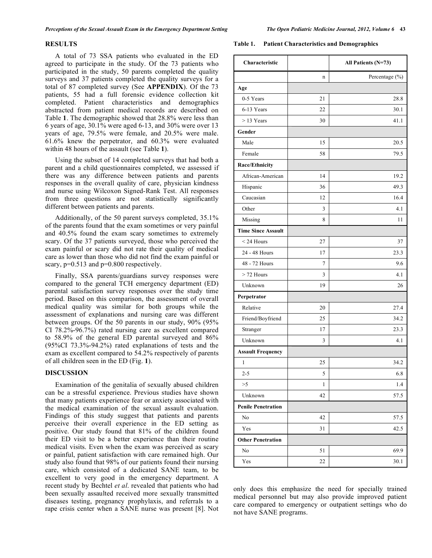### **RESULTS**

 A total of 73 SSA patients who evaluated in the ED agreed to participate in the study. Of the 73 patients who participated in the study, 50 parents completed the quality surveys and 37 patients completed the quality surveys for a total of 87 completed survey (See **APPENDIX**). Of the 73 patients, 55 had a full forensic evidence collection kit completed. Patient characteristics and demographics abstracted from patient medical records are described on Table **1**. The demographic showed that 28.8% were less than 6 years of age, 30.1% were aged 6-13, and 30% were over 13 years of age, 79.5% were female, and 20.5% were male. 61.6% knew the perpetrator, and 60.3% were evaluated within 48 hours of the assault (see Table **1**).

 Using the subset of 14 completed surveys that had both a parent and a child questionnaires completed, we assessed if there was any difference between patients and parents responses in the overall quality of care, physician kindness and nurse using Wilcoxon Signed-Rank Test. All responses from three questions are not statistically significantly different between patients and parents.

 Additionally, of the 50 parent surveys completed, 35.1% of the parents found that the exam sometimes or very painful and 40.5% found the exam scary sometimes to extremely scary. Of the 37 patients surveyed, those who perceived the exam painful or scary did not rate their quality of medical care as lower than those who did not find the exam painful or scary,  $p=0.513$  and  $p=0.800$  respectively.

 Finally, SSA parents/guardians survey responses were compared to the general TCH emergency department (ED) parental satisfaction survey responses over the study time period. Based on this comparison, the assessment of overall medical quality was similar for both groups while the assessment of explanations and nursing care was different between groups. Of the 50 parents in our study, 90% (95% CI 78.2%-96.7%) rated nursing care as excellent compared to 58.9% of the general ED parental surveyed and 86% (95%CI 73.3%-94.2%) rated explanations of tests and the exam as excellent compared to 54.2% respectively of parents of all children seen in the ED (Fig. **1**).

# **DISCUSSION**

 Examination of the genitalia of sexually abused children can be a stressful experience. Previous studies have shown that many patients experience fear or anxiety associated with the medical examination of the sexual assault evaluation. Findings of this study suggest that patients and parents perceive their overall experience in the ED setting as positive. Our study found that 81% of the children found their ED visit to be a better experience than their routine medical visits. Even when the exam was perceived as scary or painful, patient satisfaction with care remained high. Our study also found that 98% of our patients found their nursing care, which consisted of a dedicated SANE team, to be excellent to very good in the emergency department. A recent study by Bechtel *et al*. revealed that patients who had been sexually assaulted received more sexually transmitted diseases testing, pregnancy prophylaxis, and referrals to a rape crisis center when a SANE nurse was present [8]. Not

#### **Table 1. Patient Characteristics and Demographics**

| Characteristic            |    | All Patients (N=73) |
|---------------------------|----|---------------------|
|                           | n  | Percentage (%)      |
| Age                       |    |                     |
| 0-5 Years                 | 21 | 28.8                |
| 6-13 Years                | 22 | 30.1                |
| $>$ 13 Years              | 30 | 41.1                |
| Gender                    |    |                     |
| Male                      | 15 | 20.5                |
| Female                    | 58 | 79.5                |
| Race/Ethnicity            |    |                     |
| African-American          | 14 | 19.2                |
| Hispanic                  | 36 | 49.3                |
| Caucasian                 | 12 | 16.4                |
| Other                     | 3  | 4.1                 |
| Missing                   | 8  | 11                  |
| <b>Time Since Assault</b> |    |                     |
| $<$ 24 Hours              | 27 | 37                  |
| 24 - 48 Hours             | 17 | 23.3                |
| 48 - 72 Hours             | 7  | 9.6                 |
| $>$ 72 Hours              | 3  | 4.1                 |
| Unknown                   | 19 | 26                  |
| Perpetrator               |    |                     |
| Relative                  | 20 | 27.4                |
| Friend/Boyfriend          | 25 | 34.2                |
| Stranger                  | 17 | 23.3                |
| Unknown                   | 3  | 4.1                 |
| <b>Assault Frequency</b>  |    |                     |
| 1                         | 25 | 34.2                |
| $2 - 5$                   | 5  | 6.8                 |
| >5                        | 1  | 1.4                 |
| Unknown                   | 42 | 57.5                |
| <b>Penile Penetration</b> |    |                     |
| No                        | 42 | 57.5                |
| Yes                       | 31 | 42.5                |
| <b>Other Penetration</b>  |    |                     |
| No                        | 51 | 69.9                |
| Yes                       | 22 | $30.1\,$            |

only does this emphasize the need for specially trained medical personnel but may also provide improved patient care compared to emergency or outpatient settings who do not have SANE programs.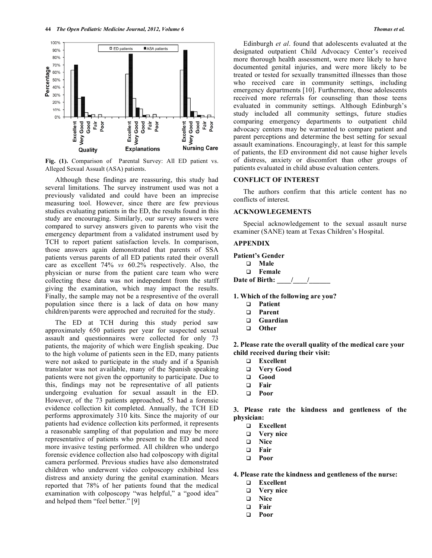

**Fig. (1).** Comparison of Parental Survey: All ED patient vs. Alleged Sexual Assualt (ASA) patients.

 Although these findings are reassuring, this study had several limitations. The survey instrument used was not a previously validated and could have been an imprecise measuring tool. However, since there are few previous studies evaluating patients in the ED, the results found in this study are encouraging. Similarly, our survey answers were compared to survey answers given to parents who visit the emergency department from a validated instrument used by TCH to report patient satisfaction levels. In comparison, those answers again demonstrated that parents of SSA patients versus parents of all ED patients rated their overall care as excellent 74% *vs* 60.2% respectively. Also, the physician or nurse from the patient care team who were collecting these data was not independent from the statff giving the examination, which may impact the results. Finally, the sample may not be a respresentive of the overall population since there is a lack of data on how many children/parents were approched and recruited for the study.

 The ED at TCH during this study period saw approximately 650 patients per year for suspected sexual assault and questionnaires were collected for only 73 patients, the majority of which were English speaking. Due to the high volume of patients seen in the ED, many patients were not asked to participate in the study and if a Spanish translator was not available, many of the Spanish speaking patients were not given the opportunity to participate. Due to this, findings may not be representative of all patients undergoing evaluation for sexual assault in the ED. However, of the 73 patients approached, 55 had a forensic evidence collection kit completed. Annually, the TCH ED performs approximately 310 kits. Since the majority of our patients had evidence collection kits performed, it represents a reasonable sampling of that population and may be more representative of patients who present to the ED and need more invasive testing performed. All children who undergo forensic evidence collection also had colposcopy with digital camera performed. Previous studies have also demonstrated children who underwent video colposcopy exhibited less distress and anxiety during the genital examination. Mears reported that 78% of her patients found that the medical examination with colposcopy "was helpful," a "good idea" and helped them "feel better." [9]

 Edinburgh *et al*. found that adolescents evaluated at the designated outpatient Child Advocacy Center's received more thorough health assessment, were more likely to have documented genital injuries, and were more likely to be treated or tested for sexually transmitted illnesses than those who received care in community settings, including emergency departments [10]. Furthermore, those adolescents received more referrals for counseling than those teens evaluated in community settings. Although Edinburgh's study included all community settings, future studies comparing emergency departments to outpatient child advocacy centers may be warranted to compare patient and parent perceptions and determine the best setting for sexual assault examinations. Encouragingly, at least for this sample of patients, the ED environment did not cause higher levels of distress, anxiety or discomfort than other groups of patients evaluated in child abuse evaluation centers.

### **CONFLICT OF INTEREST**

 The authors confirm that this article content has no conflicts of interest.

### **ACKNOWLEGEMENTS**

 Special acknowledgement to the sexual assault nurse examiner (SANE) team at Texas Children's Hospital.

# **APPENDIX**

**Patient's Gender Male Female Date of Birth:** / /

**1. Which of the following are you?** 

- **Patient**
- **Parent**
- **Guardian**
- **Other**

**2. Please rate the overall quality of the medical care your child received during their visit:** 

- **Excellent**
- **Very Good**
- **Good**
- **Fair**
- **Poor**

**3. Please rate the kindness and gentleness of the physician:** 

- **Excellent**
- **Very nice**
- **Nice**
- **Fair**
- **Poor**

# **4. Please rate the kindness and gentleness of the nurse:**

- **Excellent**
- **Very nice**
- **Nice**
- **Fair**
- **Poor**